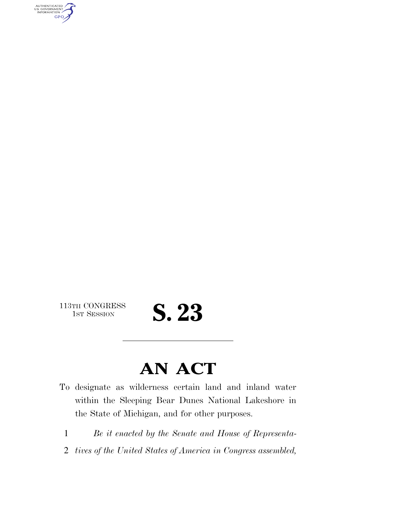AUTHENTICATED<br>U.S. GOVERNMENT<br>INFORMATION **GPO** 

113TH CONGRESS<br>1st Session

## S. 23

### **AN ACT**

- To designate as wilderness certain land and inland water within the Sleeping Bear Dunes National Lakeshore in the State of Michigan, and for other purposes.
	- 1 *Be it enacted by the Senate and House of Representa-*
	- 2 *tives of the United States of America in Congress assembled,*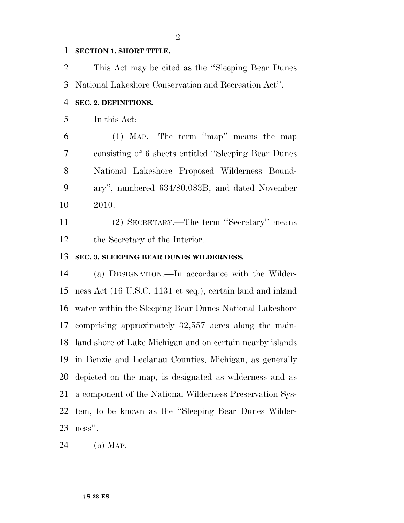#### **SECTION 1. SHORT TITLE.**

 This Act may be cited as the ''Sleeping Bear Dunes National Lakeshore Conservation and Recreation Act''.

#### **SEC. 2. DEFINITIONS.**

In this Act:

 (1) MAP.—The term ''map'' means the map consisting of 6 sheets entitled ''Sleeping Bear Dunes National Lakeshore Proposed Wilderness Bound- ary'', numbered 634/80,083B, and dated November 2010.

 (2) SECRETARY.—The term ''Secretary'' means the Secretary of the Interior.

#### **SEC. 3. SLEEPING BEAR DUNES WILDERNESS.**

 (a) DESIGNATION.—In accordance with the Wilder- ness Act (16 U.S.C. 1131 et seq.), certain land and inland water within the Sleeping Bear Dunes National Lakeshore comprising approximately 32,557 acres along the main- land shore of Lake Michigan and on certain nearby islands in Benzie and Leelanau Counties, Michigan, as generally depicted on the map, is designated as wilderness and as a component of the National Wilderness Preservation Sys- tem, to be known as the ''Sleeping Bear Dunes Wilder-ness''.

(b) MAP.—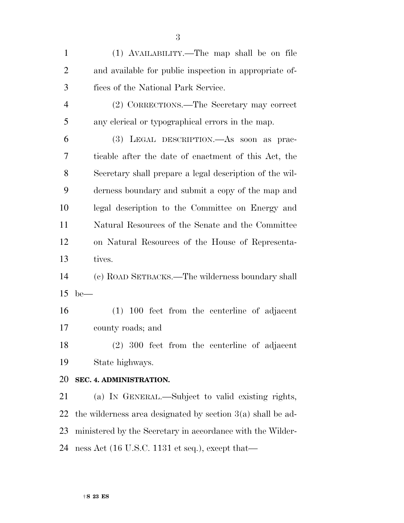| $\mathbf{1}$ | (1) AVAILABILITY.—The map shall be on file                         |
|--------------|--------------------------------------------------------------------|
| 2            | and available for public inspection in appropriate of-             |
| 3            | fices of the National Park Service.                                |
| 4            | (2) CORRECTIONS.—The Secretary may correct                         |
| 5            | any clerical or typographical errors in the map.                   |
| 6            | (3) LEGAL DESCRIPTION.—As soon as prac-                            |
| 7            | ticable after the date of enactment of this Act, the               |
| 8            | Secretary shall prepare a legal description of the wil-            |
| 9            | derness boundary and submit a copy of the map and                  |
| 10           | legal description to the Committee on Energy and                   |
| 11           | Natural Resources of the Senate and the Committee                  |
| 12           | on Natural Resources of the House of Representa-                   |
| 13           | tives.                                                             |
| 14           | (c) ROAD SETBACKS.—The wilderness boundary shall                   |
| 15           | $be$ —                                                             |
| 16           | $(1)$ 100 feet from the centerline of adjacent                     |
| 17           | county roads; and                                                  |
| 18           | (2) 300 feet from the centerline of adjacent                       |
| 19           | State highways.                                                    |
| 20           | SEC. 4. ADMINISTRATION.                                            |
| 21           | (a) IN GENERAL.—Subject to valid existing rights,                  |
| 22           | the wilderness area designated by section $3(a)$ shall be ad-      |
| 23           | ministered by the Secretary in accordance with the Wilder-         |
| 24           | ness Act $(16 \text{ U.S.C. } 1131 \text{ et seq.}),$ except that— |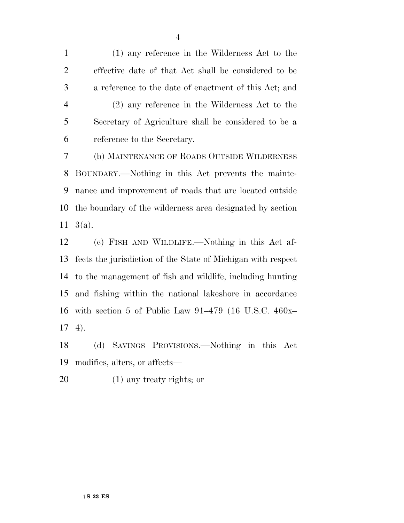(1) any reference in the Wilderness Act to the effective date of that Act shall be considered to be a reference to the date of enactment of this Act; and (2) any reference in the Wilderness Act to the Secretary of Agriculture shall be considered to be a reference to the Secretary.

 (b) MAINTENANCE OF ROADS OUTSIDE WILDERNESS BOUNDARY.—Nothing in this Act prevents the mainte- nance and improvement of roads that are located outside the boundary of the wilderness area designated by section 3(a).

 (c) FISH AND WILDLIFE.—Nothing in this Act af- fects the jurisdiction of the State of Michigan with respect to the management of fish and wildlife, including hunting and fishing within the national lakeshore in accordance with section 5 of Public Law 91–479 (16 U.S.C. 460x– 4).

 (d) SAVINGS PROVISIONS.—Nothing in this Act modifies, alters, or affects—

(1) any treaty rights; or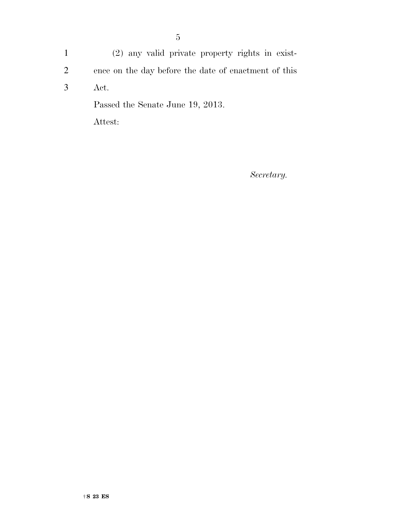1 (2) any valid private property rights in exist-2 ence on the day before the date of enactment of this 3 Act. Passed the Senate June 19, 2013. Attest:

*Secretary.*